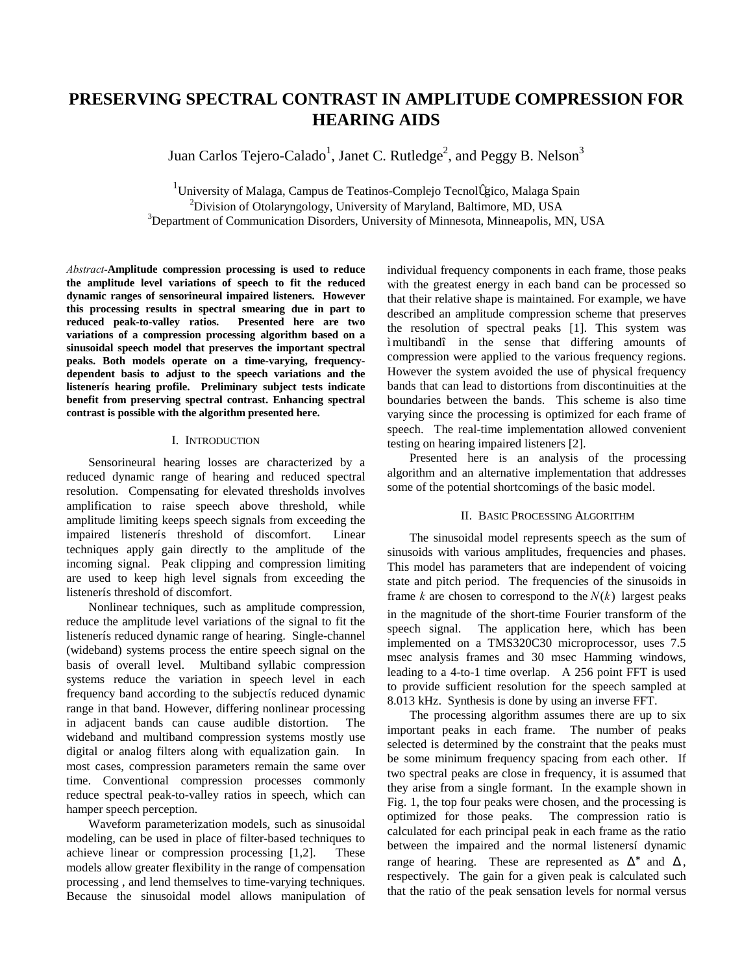# **PRESERVING SPECTRAL CONTRAST IN AMPLITUDE COMPRESSION FOR HEARING AIDS**

Juan Carlos Tejero-Calado<sup>1</sup>, Janet C. Rutledge<sup>2</sup>, and Peggy B. Nelson<sup>3</sup>

<sup>1</sup>University of Malaga, Campus de Teatinos-Complejo Tecnológico, Malaga Spain <sup>2</sup> Division of Otolar magalogu University of Maryland, Politimore, MD, USA  $^{2}$ Division of Otolaryngology, University of Maryland, Baltimore, MD, USA <sup>3</sup>Department of Communication Disorders, University of Minnesota, Minneapolis, MN, USA

*Abstract-***Amplitude compression processing is used to reduce the amplitude level variations of speech to fit the reduced dynamic ranges of sensorineural impaired listeners. However this processing results in spectral smearing due in part to reduced peak-to-valley ratios. Presented here are two variations of a compression processing algorithm based on a sinusoidal speech model that preserves the important spectral peaks. Both models operate on a time-varying, frequencydependent basis to adjust to the speech variations and the listener's hearing profile. Preliminary subject tests indicate benefit from preserving spectral contrast. Enhancing spectral contrast is possible with the algorithm presented here.** 

# I. INTRODUCTION

Sensorineural hearing losses are characterized by a reduced dynamic range of hearing and reduced spectral resolution. Compensating for elevated thresholds involves amplification to raise speech above threshold, while amplitude limiting keeps speech signals from exceeding the impaired listener's threshold of discomfort. Linear techniques apply gain directly to the amplitude of the incoming signal. Peak clipping and compression limiting are used to keep high level signals from exceeding the listener's threshold of discomfort.

Nonlinear techniques, such as amplitude compression, reduce the amplitude level variations of the signal to fit the listener's reduced dynamic range of hearing. Single-channel (wideband) systems process the entire speech signal on the basis of overall level. Multiband syllabic compression systems reduce the variation in speech level in each frequency band according to the subject's reduced dynamic range in that band. However, differing nonlinear processing in adjacent bands can cause audible distortion. The wideband and multiband compression systems mostly use digital or analog filters along with equalization gain. In most cases, compression parameters remain the same over time. Conventional compression processes commonly reduce spectral peak-to-valley ratios in speech, which can hamper speech perception.

Waveform parameterization models, such as sinusoidal modeling, can be used in place of filter-based techniques to achieve linear or compression processing [1,2]. These models allow greater flexibility in the range of compensation processing , and lend themselves to time-varying techniques. Because the sinusoidal model allows manipulation of individual frequency components in each frame, those peaks with the greatest energy in each band can be processed so that their relative shape is maintained. For example, we have described an amplitude compression scheme that preserves the resolution of spectral peaks [1]. This system was "multiband" in the sense that differing amounts of compression were applied to the various frequency regions. However the system avoided the use of physical frequency bands that can lead to distortions from discontinuities at the boundaries between the bands. This scheme is also time varying since the processing is optimized for each frame of speech. The real-time implementation allowed convenient testing on hearing impaired listeners [2].

Presented here is an analysis of the processing algorithm and an alternative implementation that addresses some of the potential shortcomings of the basic model.

# II. BASIC PROCESSING ALGORITHM

The sinusoidal model represents speech as the sum of sinusoids with various amplitudes, frequencies and phases. This model has parameters that are independent of voicing state and pitch period. The frequencies of the sinusoids in frame  $k$  are chosen to correspond to the  $N(k)$  largest peaks in the magnitude of the short-time Fourier transform of the speech signal. The application here, which has been implemented on a TMS320C30 microprocessor, uses 7.5 msec analysis frames and 30 msec Hamming windows, leading to a 4-to-1 time overlap. A 256 point FFT is used to provide sufficient resolution for the speech sampled at 8.013 kHz. Synthesis is done by using an inverse FFT.

The processing algorithm assumes there are up to six important peaks in each frame. The number of peaks selected is determined by the constraint that the peaks must be some minimum frequency spacing from each other. If two spectral peaks are close in frequency, it is assumed that they arise from a single formant. In the example shown in Fig. 1, the top four peaks were chosen, and the processing is optimized for those peaks. The compression ratio is calculated for each principal peak in each frame as the ratio between the impaired and the normal listeners' dynamic range of hearing. These are represented as  $\Delta^*$  and  $\Delta$ , respectively. The gain for a given peak is calculated such that the ratio of the peak sensation levels for normal versus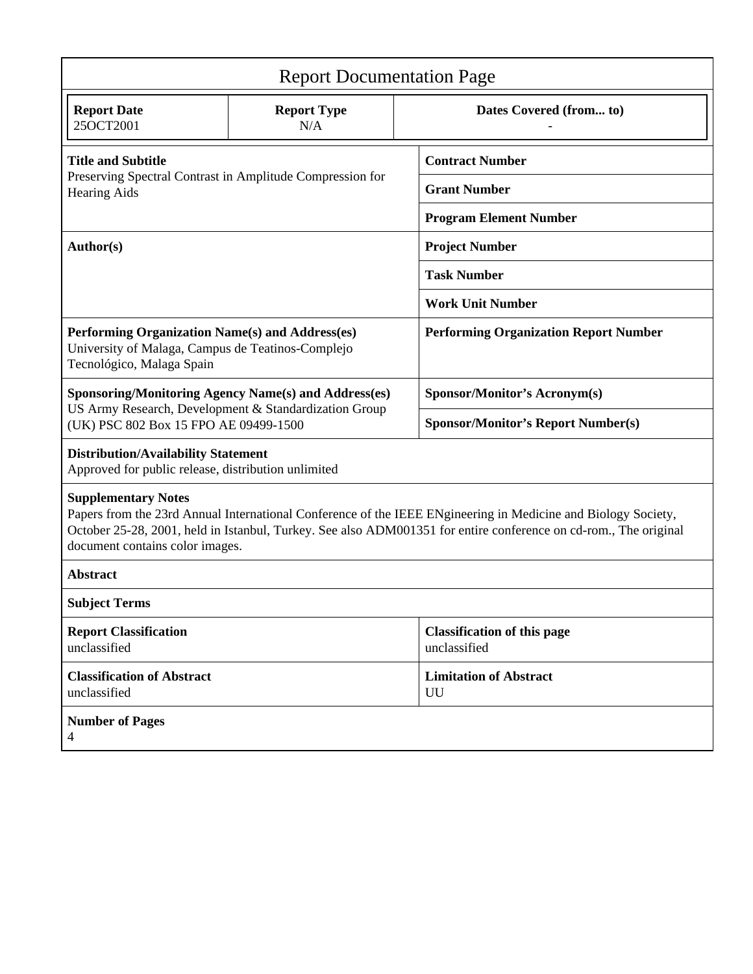| <b>Report Documentation Page</b>                                                                                                                                                                                                                                                                   |                                                             |                                                    |  |  |  |  |
|----------------------------------------------------------------------------------------------------------------------------------------------------------------------------------------------------------------------------------------------------------------------------------------------------|-------------------------------------------------------------|----------------------------------------------------|--|--|--|--|
| <b>Report Date</b><br>25OCT2001                                                                                                                                                                                                                                                                    | <b>Report Type</b><br>N/A                                   | Dates Covered (from to)                            |  |  |  |  |
| <b>Title and Subtitle</b><br>Preserving Spectral Contrast in Amplitude Compression for<br><b>Hearing Aids</b>                                                                                                                                                                                      |                                                             | <b>Contract Number</b>                             |  |  |  |  |
|                                                                                                                                                                                                                                                                                                    |                                                             | <b>Grant Number</b>                                |  |  |  |  |
|                                                                                                                                                                                                                                                                                                    |                                                             | <b>Program Element Number</b>                      |  |  |  |  |
| Author(s)                                                                                                                                                                                                                                                                                          |                                                             | <b>Project Number</b>                              |  |  |  |  |
|                                                                                                                                                                                                                                                                                                    |                                                             | <b>Task Number</b>                                 |  |  |  |  |
|                                                                                                                                                                                                                                                                                                    |                                                             | <b>Work Unit Number</b>                            |  |  |  |  |
| Performing Organization Name(s) and Address(es)<br>University of Malaga, Campus de Teatinos-Complejo<br>Tecnológico, Malaga Spain                                                                                                                                                                  |                                                             | <b>Performing Organization Report Number</b>       |  |  |  |  |
|                                                                                                                                                                                                                                                                                                    | <b>Sponsoring/Monitoring Agency Name(s) and Address(es)</b> | Sponsor/Monitor's Acronym(s)                       |  |  |  |  |
| US Army Research, Development & Standardization Group<br>(UK) PSC 802 Box 15 FPO AE 09499-1500                                                                                                                                                                                                     |                                                             | <b>Sponsor/Monitor's Report Number(s)</b>          |  |  |  |  |
| <b>Distribution/Availability Statement</b><br>Approved for public release, distribution unlimited                                                                                                                                                                                                  |                                                             |                                                    |  |  |  |  |
| <b>Supplementary Notes</b><br>Papers from the 23rd Annual International Conference of the IEEE ENgineering in Medicine and Biology Society,<br>October 25-28, 2001, held in Istanbul, Turkey. See also ADM001351 for entire conference on cd-rom., The original<br>document contains color images. |                                                             |                                                    |  |  |  |  |
| <b>Abstract</b>                                                                                                                                                                                                                                                                                    |                                                             |                                                    |  |  |  |  |
| <b>Subject Terms</b>                                                                                                                                                                                                                                                                               |                                                             |                                                    |  |  |  |  |
| <b>Report Classification</b><br>unclassified                                                                                                                                                                                                                                                       |                                                             | <b>Classification of this page</b><br>unclassified |  |  |  |  |
| <b>Classification of Abstract</b><br>unclassified                                                                                                                                                                                                                                                  |                                                             | <b>Limitation of Abstract</b><br>UU                |  |  |  |  |
| <b>Number of Pages</b><br>4                                                                                                                                                                                                                                                                        |                                                             |                                                    |  |  |  |  |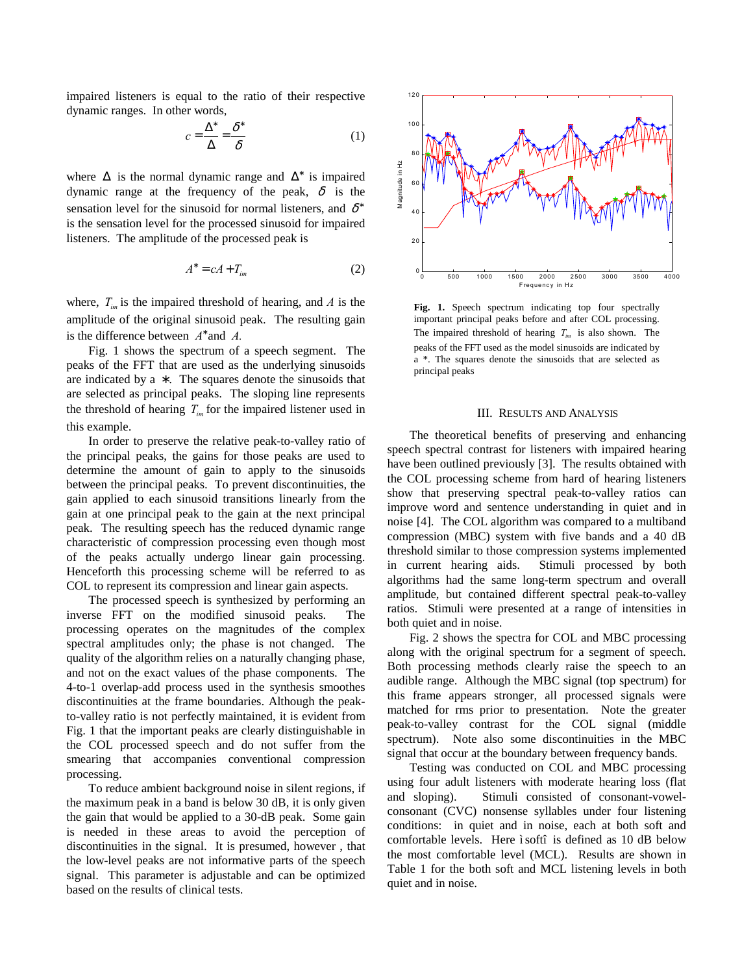impaired listeners is equal to the ratio of their respective dynamic ranges. In other words,

$$
c = \frac{\Delta^*}{\Delta} = \frac{\delta^*}{\delta} \tag{1}
$$

where  $\Delta$  is the normal dynamic range and  $\Delta^*$  is impaired dynamic range at the frequency of the peak,  $\delta$  is the sensation level for the sinusoid for normal listeners, and  $\delta^*$ is the sensation level for the processed sinusoid for impaired listeners. The amplitude of the processed peak is

$$
A^* = cA + T_{im} \tag{2}
$$

where,  $T_{im}$  is the impaired threshold of hearing, and  $A$  is the amplitude of the original sinusoid peak. The resulting gain is the difference between *A*<sup>∗</sup> and *A.*

Fig. 1 shows the spectrum of a speech segment. The peaks of the FFT that are used as the underlying sinusoids are indicated by a  $*$ . The squares denote the sinusoids that are selected as principal peaks. The sloping line represents the threshold of hearing  $T_{im}$  for the impaired listener used in this example.

In order to preserve the relative peak-to-valley ratio of the principal peaks, the gains for those peaks are used to determine the amount of gain to apply to the sinusoids between the principal peaks. To prevent discontinuities, the gain applied to each sinusoid transitions linearly from the gain at one principal peak to the gain at the next principal peak. The resulting speech has the reduced dynamic range characteristic of compression processing even though most of the peaks actually undergo linear gain processing. Henceforth this processing scheme will be referred to as COL to represent its compression and linear gain aspects.

The processed speech is synthesized by performing an inverse FFT on the modified sinusoid peaks. The processing operates on the magnitudes of the complex spectral amplitudes only; the phase is not changed. The quality of the algorithm relies on a naturally changing phase, and not on the exact values of the phase components. The 4-to-1 overlap-add process used in the synthesis smoothes discontinuities at the frame boundaries. Although the peakto-valley ratio is not perfectly maintained, it is evident from Fig. 1 that the important peaks are clearly distinguishable in the COL processed speech and do not suffer from the smearing that accompanies conventional compression processing.

To reduce ambient background noise in silent regions, if the maximum peak in a band is below 30 dB, it is only given the gain that would be applied to a 30-dB peak. Some gain is needed in these areas to avoid the perception of discontinuities in the signal. It is presumed, however , that the low-level peaks are not informative parts of the speech signal. This parameter is adjustable and can be optimized based on the results of clinical tests.



Fig. 1. Speech spectrum indicating top four spectrally important principal peaks before and after COL processing. The impaired threshold of hearing  $T_{im}$  is also shown. The peaks of the FFT used as the model sinusoids are indicated by a \*. The squares denote the sinusoids that are selected as principal peaks

# III. RESULTS AND ANALYSIS

The theoretical benefits of preserving and enhancing speech spectral contrast for listeners with impaired hearing have been outlined previously [3]. The results obtained with the COL processing scheme from hard of hearing listeners show that preserving spectral peak-to-valley ratios can improve word and sentence understanding in quiet and in noise [4]. The COL algorithm was compared to a multiband compression (MBC) system with five bands and a 40 dB threshold similar to those compression systems implemented in current hearing aids. Stimuli processed by both algorithms had the same long-term spectrum and overall amplitude, but contained different spectral peak-to-valley ratios. Stimuli were presented at a range of intensities in both quiet and in noise.

Fig. 2 shows the spectra for COL and MBC processing along with the original spectrum for a segment of speech. Both processing methods clearly raise the speech to an audible range. Although the MBC signal (top spectrum) for this frame appears stronger, all processed signals were matched for rms prior to presentation. Note the greater peak-to-valley contrast for the COL signal (middle spectrum). Note also some discontinuities in the MBC signal that occur at the boundary between frequency bands.

Testing was conducted on COL and MBC processing using four adult listeners with moderate hearing loss (flat and sloping). Stimuli consisted of consonant-vowelconsonant (CVC) nonsense syllables under four listening conditions: in quiet and in noise, each at both soft and comfortable levels. Here "soft" is defined as 10 dB below the most comfortable level (MCL). Results are shown in Table 1 for the both soft and MCL listening levels in both quiet and in noise.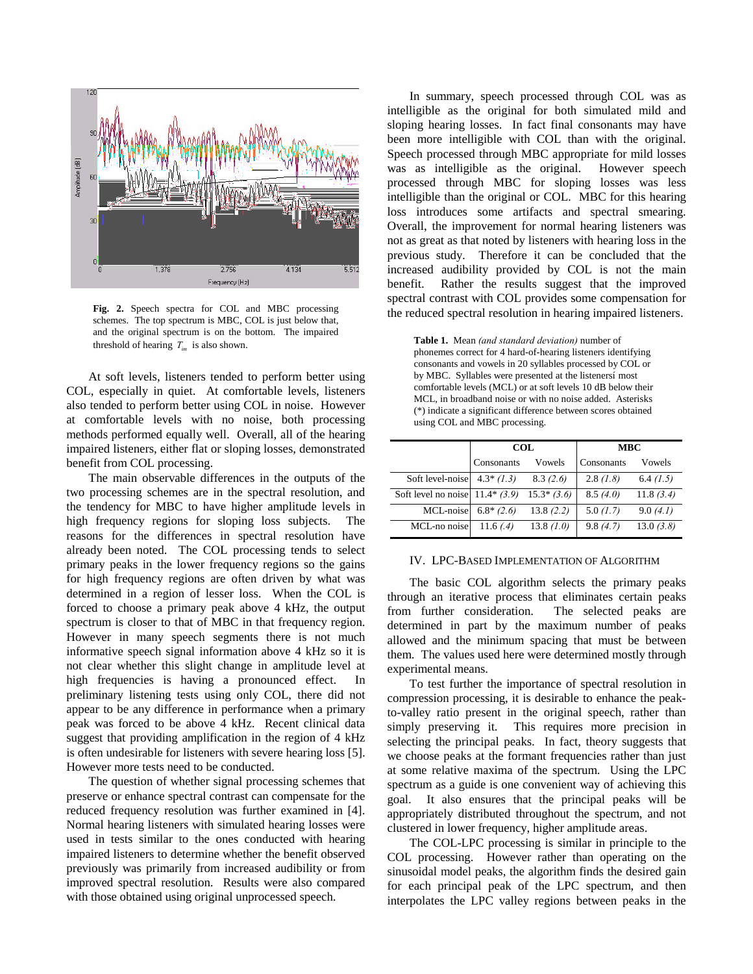

**Fig. 2.** Speech spectra for COL and MBC processing schemes. The top spectrum is MBC, COL is just below that, and the original spectrum is on the bottom. The impaired threshold of hearing  $T_{im}$  is also shown.

At soft levels, listeners tended to perform better using COL, especially in quiet. At comfortable levels, listeners also tended to perform better using COL in noise. However at comfortable levels with no noise, both processing methods performed equally well. Overall, all of the hearing impaired listeners, either flat or sloping losses, demonstrated benefit from COL processing.

The main observable differences in the outputs of the two processing schemes are in the spectral resolution, and the tendency for MBC to have higher amplitude levels in high frequency regions for sloping loss subjects. The reasons for the differences in spectral resolution have already been noted. The COL processing tends to select primary peaks in the lower frequency regions so the gains for high frequency regions are often driven by what was determined in a region of lesser loss. When the COL is forced to choose a primary peak above 4 kHz, the output spectrum is closer to that of MBC in that frequency region. However in many speech segments there is not much informative speech signal information above 4 kHz so it is not clear whether this slight change in amplitude level at high frequencies is having a pronounced effect. In preliminary listening tests using only COL, there did not appear to be any difference in performance when a primary peak was forced to be above 4 kHz. Recent clinical data suggest that providing amplification in the region of 4 kHz is often undesirable for listeners with severe hearing loss [5]. However more tests need to be conducted.

The question of whether signal processing schemes that preserve or enhance spectral contrast can compensate for the reduced frequency resolution was further examined in [4]. Normal hearing listeners with simulated hearing losses were used in tests similar to the ones conducted with hearing impaired listeners to determine whether the benefit observed previously was primarily from increased audibility or from improved spectral resolution. Results were also compared with those obtained using original unprocessed speech.

In summary, speech processed through COL was as intelligible as the original for both simulated mild and sloping hearing losses. In fact final consonants may have been more intelligible with COL than with the original. Speech processed through MBC appropriate for mild losses was as intelligible as the original. However speech processed through MBC for sloping losses was less intelligible than the original or COL. MBC for this hearing loss introduces some artifacts and spectral smearing. Overall, the improvement for normal hearing listeners was not as great as that noted by listeners with hearing loss in the previous study. Therefore it can be concluded that the increased audibility provided by COL is not the main benefit. Rather the results suggest that the improved spectral contrast with COL provides some compensation for the reduced spectral resolution in hearing impaired listeners.

**Table 1.** Mean *(and standard deviation)* number of phonemes correct for 4 hard-of-hearing listeners identifying consonants and vowels in 20 syllables processed by COL or by MBC. Syllables were presented at the listeners' most comfortable levels (MCL) or at soft levels 10 dB below their MCL, in broadband noise or with no noise added. Asterisks (\*) indicate a significant difference between scores obtained using COL and MBC processing.

|                                  | COL         |               | <b>MBC</b> |           |
|----------------------------------|-------------|---------------|------------|-----------|
|                                  | Consonants  | Vowels        | Consonants | Vowels    |
| Soft level-noise                 | $4.3*(1.3)$ | 8.3(2.6)      | 2.8(1.8)   | 6.4 (1.5) |
| Soft level no noise $11.4*(3.9)$ |             | $15.3*$ (3.6) | 8.5(4.0)   | 11.8(3.4) |
| MCL-noise                        | $6.8*(2.6)$ | 13.8(2.2)     | 5.0(1.7)   | 9.0(4.1)  |
| MCL-no noise                     | 11.6 $(.4)$ | 13.8 $(1.0)$  | 9.8(4.7)   | 13.0(3.8) |

#### IV. LPC-BASED IMPLEMENTATION OF ALGORITHM

The basic COL algorithm selects the primary peaks through an iterative process that eliminates certain peaks from further consideration. The selected peaks are determined in part by the maximum number of peaks allowed and the minimum spacing that must be between them. The values used here were determined mostly through experimental means.

To test further the importance of spectral resolution in compression processing, it is desirable to enhance the peakto-valley ratio present in the original speech, rather than simply preserving it. This requires more precision in selecting the principal peaks. In fact, theory suggests that we choose peaks at the formant frequencies rather than just at some relative maxima of the spectrum. Using the LPC spectrum as a guide is one convenient way of achieving this goal. It also ensures that the principal peaks will be appropriately distributed throughout the spectrum, and not clustered in lower frequency, higher amplitude areas.

The COL-LPC processing is similar in principle to the COL processing. However rather than operating on the sinusoidal model peaks, the algorithm finds the desired gain for each principal peak of the LPC spectrum, and then interpolates the LPC valley regions between peaks in the